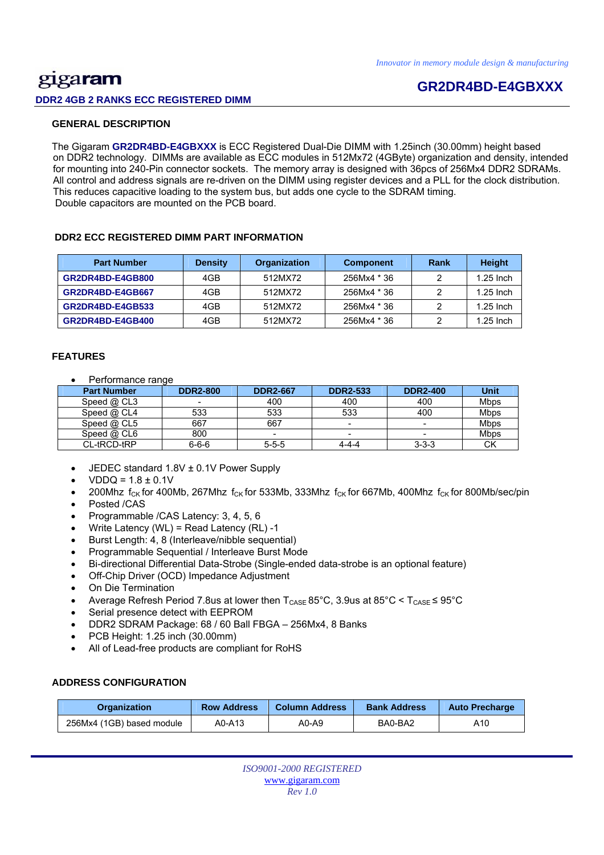## gigaram **DDR2 4GB 2 RANKS ECC REGISTERED DIMM**

## **GR2DR4BD-E4GBXXX**

#### **GENERAL DESCRIPTION**

 The Gigaram **GR2DR4BD-E4GBXXX** is ECC Registered Dual-Die DIMM with 1.25inch (30.00mm) height based on DDR2 technology. DIMMs are available as ECC modules in 512Mx72 (4GByte) organization and density, intended for mounting into 240-Pin connector sockets. The memory array is designed with 36pcs of 256Mx4 DDR2 SDRAMs. All control and address signals are re-driven on the DIMM using register devices and a PLL for the clock distribution. This reduces capacitive loading to the system bus, but adds one cycle to the SDRAM timing. Double capacitors are mounted on the PCB board.

#### **DDR2 ECC REGISTERED DIMM PART INFORMATION**

| <b>Part Number</b> | <b>Density</b> | Organization | <b>Component</b> | Rank | <b>Height</b> |
|--------------------|----------------|--------------|------------------|------|---------------|
| GR2DR4BD-E4GB800   | 4GB            | 512MX72      | 256Mx4 * 36      |      | $1.25$ lnch   |
| GR2DR4BD-E4GB667   | 4GB            | 512MX72      | 256Mx4 * 36      |      | $1.25$ Inch   |
| GR2DR4BD-E4GB533   | 4GB            | 512MX72      | 256Mx4 * 36      |      | $1.25$ lnch   |
| GR2DR4BD-E4GB400   | 4GB            | 512MX72      | 256Mx4 * 36      |      | $1.25$ lnch   |

#### **FEATURES**

• Performance range

| <b>Part Number</b> | <b>DDR2-800</b>          | <b>DDR2-667</b> | <b>DDR2-533</b> | <b>DDR2-400</b> | Unit        |
|--------------------|--------------------------|-----------------|-----------------|-----------------|-------------|
| Speed @ CL3        | $\overline{\phantom{0}}$ | 400             | 400             | 400             | <b>Mbps</b> |
| Speed @ CL4        | 533                      | 533             | 533             | 400             | <b>Mbps</b> |
| Speed $@$ CL5      | 667                      | 667             |                 | -               | Mbps        |
| Speed $@$ CL6      | 800                      |                 |                 | -               | Mbps        |
| CL-tRCD-tRP        | $6 - 6 - 6$              | $5 - 5 - 5$     | 4-4-4           | $3 - 3 - 3$     | СK          |

- JEDEC standard 1.8V ± 0.1V Power Supply
- $VDDQ = 1.8 \pm 0.1V$
- 200Mhz  $f_{CK}$  for 400Mb, 267Mhz  $f_{CK}$  for 533Mb, 333Mhz  $f_{CK}$  for 667Mb, 400Mhz  $f_{CK}$  for 800Mb/sec/pin
- Posted /CAS
- Programmable /CAS Latency: 3, 4, 5, 6
- Write Latency (WL) = Read Latency (RL) -1
- Burst Length: 4, 8 (Interleave/nibble sequential)
- Programmable Sequential / Interleave Burst Mode
- Bi-directional Differential Data-Strobe (Single-ended data-strobe is an optional feature)
- Off-Chip Driver (OCD) Impedance Adjustment
- On Die Termination
- Average Refresh Period 7.8us at lower then  $T_{\text{CASE}}$  85°C, 3.9us at 85°C <  $T_{\text{CASE}}$  ≤ 95°C
- Serial presence detect with EEPROM
- DDR2 SDRAM Package: 68 / 60 Ball FBGA 256Mx4, 8 Banks
- PCB Height: 1.25 inch (30.00mm)
- All of Lead-free products are compliant for RoHS

#### **ADDRESS CONFIGURATION**

| <b>Row Address</b><br><b>Organization</b> |        | <b>Column Address</b> | <b>Bank Address</b> | <b>Auto Precharge</b> |  |
|-------------------------------------------|--------|-----------------------|---------------------|-----------------------|--|
| 256Mx4 (1GB) based module                 | A0-A13 | A0-A9                 | BA0-BA2             | A10                   |  |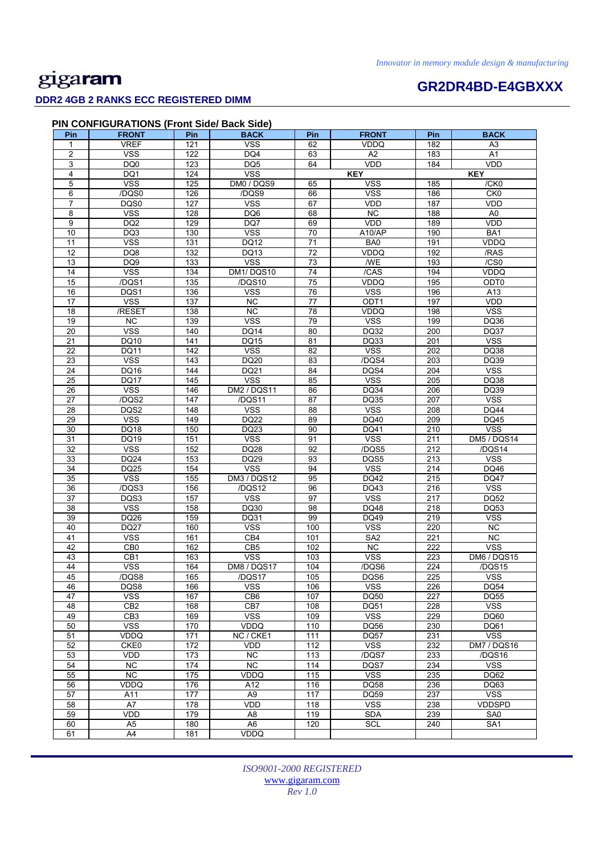### **DDR2 4GB 2 RANKS ECC REGISTERED DIMM**

# **GR2DR4BD-E4GBXXX**

| <b>PIN CONFIGURATIONS (Front Side/ Back Side)</b> |              |     |      |  |  |  |  |
|---------------------------------------------------|--------------|-----|------|--|--|--|--|
|                                                   | <b>ERONT</b> | Pin | RACK |  |  |  |  |

| Pin             | <b>FRONT</b>      | Pin              | <b>BACK</b>             | Pin             | <b>FRONT</b>     | Pin | <b>BACK</b>       |
|-----------------|-------------------|------------------|-------------------------|-----------------|------------------|-----|-------------------|
| 1               | <b>VREF</b>       | 121              | <b>VSS</b>              | 62              | <b>VDDQ</b>      | 182 | A <sub>3</sub>    |
| 2               | <b>VSS</b>        | $\overline{122}$ | DQ4                     | 63              | A <sub>2</sub>   | 183 | A1                |
| 3               | DQ <sub>0</sub>   | 123              | DQ5                     | 64              | <b>VDD</b>       | 184 | <b>VDD</b>        |
| 4               | DQ1               | 124              | <b>VSS</b>              |                 | <b>KEY</b>       |     | <b>KEY</b>        |
| 5               | <b>VSS</b>        | 125              | DM0 / DQS9              | 65              | <b>VSS</b>       | 185 | /CK0              |
| 6               | /DQS0             | 126              | /DQS9                   | 66              | <b>VSS</b>       | 186 | CK <sub>0</sub>   |
| 7               | DQS0              | 127              | $\overline{\text{VSS}}$ | 67              | <b>VDD</b>       | 187 | <b>VDD</b>        |
| 8               | <b>VSS</b>        | 128              | DQ6                     | 68              | <b>NC</b>        | 188 | A <sub>0</sub>    |
| 9               | DQ <sub>2</sub>   | 129              | DQ7                     | 69              | <b>VDD</b>       | 189 | VDD               |
| 10              |                   | 130              | <b>VSS</b>              | 70              | A10/AP           | 190 | BA1               |
| 11              | DQ3<br><b>VSS</b> | 131              |                         | 71              | BA0              | 191 |                   |
|                 |                   |                  | DQ12                    |                 |                  |     | VDDQ              |
| $\overline{12}$ | DQ8               | 132              | DQ13                    | $\overline{72}$ | <b>VDDQ</b>      | 192 | /RAS              |
| $\overline{13}$ | DQ <sub>9</sub>   | 133              | <b>VSS</b>              | $\overline{73}$ | <b>WE</b>        | 193 | $\overline{/CS0}$ |
| 14              | <b>VSS</b>        | 134              | DM1/DQS10               | 74              | /CAS             | 194 | VDDQ              |
| 15              | /DQS1             | 135              | /DQS10                  | 75              | <b>VDDQ</b>      | 195 | ODT0              |
| 16              | DQS1              | 136              | <b>VSS</b>              | 76              | <b>VSS</b>       | 196 | A13               |
| 17              | <b>VSS</b>        | 137              | NC                      | $\overline{77}$ | ODT <sub>1</sub> | 197 | <b>VDD</b>        |
| 18              | /RESET            | 138              | <b>NC</b>               | 78              | VDDQ             | 198 | <b>VSS</b>        |
| 19              | <b>NC</b>         | 139              | <b>VSS</b>              | 79              | <b>VSS</b>       | 199 | DQ36              |
| 20              | <b>VSS</b>        | 140              | <b>DQ14</b>             | 80              | DQ32             | 200 | <b>DQ37</b>       |
| 21              | DQ10              | 141              | <b>DQ15</b>             | 81              | DQ33             | 201 | <b>VSS</b>        |
| $\overline{22}$ | <b>DQ11</b>       | 142              | <b>VSS</b>              | $\overline{82}$ | <b>VSS</b>       | 202 | <b>DQ38</b>       |
| $\overline{23}$ | <b>VSS</b>        | 143              | DQ20                    | 83              | /DQS4            | 203 | DQ39              |
| 24              | DQ16              | 144              | <b>DQ21</b>             | 84              | DQS4             | 204 | <b>VSS</b>        |
| 25              | <b>DQ17</b>       | 145              | <b>VSS</b>              | 85              | <b>VSS</b>       | 205 | DQ38              |
| 26              | <b>VSS</b>        | 146              | DM2 / DQS11             | 86              | DQ34             | 206 | DQ39              |
| 27              | /DQS2             | 147              | /DQS11                  | 87              | <b>DQ35</b>      | 207 | <b>VSS</b>        |
| 28              | DQS2              | 148              | <b>VSS</b>              | 88              | <b>VSS</b>       | 208 | <b>DQ44</b>       |
|                 | <b>VSS</b>        |                  | <b>DQ22</b>             | 89              | DQ40             |     |                   |
| 29              |                   | 149              |                         |                 |                  | 209 | <b>DQ45</b>       |
| 30              | DQ18              | 150              | DQ23                    | 90              | DQ41             | 210 | <b>VSS</b>        |
| 31              | <b>DQ19</b>       | 151              | <b>VSS</b>              | 91              | <b>VSS</b>       | 211 | DM5 / DQS14       |
| 32              | <b>VSS</b>        | 152              | DQ28                    | 92              | /DQS5            | 212 | /DQS14            |
| 33              | <b>DQ24</b>       | 153              | DQ29                    | 93              | DQS5             | 213 | <b>VSS</b>        |
| 34              | DQ25              | 154              | <b>VSS</b>              | 94              | <b>VSS</b>       | 214 | DQ46              |
| 35              | <b>VSS</b>        | 155              | DM3 / DQS12             | 95              | DQ42             | 215 | <b>DQ47</b>       |
| 36              | /DQS3             | 156              | /DQS12                  | 96              | DQ43             | 216 | <b>VSS</b>        |
| 37              | DQS3              | 157              | <b>VSS</b>              | 97              | <b>VSS</b>       | 217 | <b>DQ52</b>       |
| 38              | <b>VSS</b>        | 158              | DQ30                    | 98              | <b>DQ48</b>      | 218 | <b>DQ53</b>       |
| 39              | DQ26              | 159              | DQ31                    | 99              | DQ49             | 219 | <b>VSS</b>        |
| 40              | <b>DQ27</b>       | 160              | <b>VSS</b>              | 100             | <b>VSS</b>       | 220 | <b>NC</b>         |
| 41              | <b>VSS</b>        | 161              | CB4                     | 101             | SA <sub>2</sub>  | 221 | <b>NC</b>         |
| 42              | CB <sub>0</sub>   | 162              | CB5                     | 102             | <b>NC</b>        | 222 | <b>VSS</b>        |
| 43              | CB1               | 163              | <b>VSS</b>              | 103             | <b>VSS</b>       | 223 | DM6 / DQS15       |
| 44              | <b>VSS</b>        | 164              | DM8 / DQS17             | 104             | /DQS6            | 224 | /DQS15            |
| 45              | /DQS8             | 165              | /DQS17                  | 105             | DQS6             | 225 | <b>VSS</b>        |
| 46              | DQS8              | 166              | <b>VSS</b>              | 106             | <b>VSS</b>       | 226 | <b>DQ54</b>       |
| 47              | <b>VSS</b>        | 167              | CB <sub>6</sub>         | 107             | DQ50             | 227 | <b>DQ55</b>       |
| 48              | CB <sub>2</sub>   | 168              | CB7                     | 108             | DQ51             | 228 | <b>VSS</b>        |
| 49              | CB <sub>3</sub>   | 169              | <b>VSS</b>              | 109             | <b>VSS</b>       | 229 | DQ60              |
| 50              | <b>VSS</b>        | 170              | VDDQ                    | 110             | <b>DQ56</b>      | 230 | DQ61              |
| 51              | <b>VDDQ</b>       | $\frac{1}{171}$  | NC / CKE1               | 111             | <b>DQ57</b>      | 231 | <b>VSS</b>        |
| 52              | CKE0              | 172              | <b>VDD</b>              | 112             | <b>VSS</b>       | 232 | DM7 / DQS16       |
| 53              | VDD               | 173              | NC                      | 113             | /DQS7            | 233 | /DQS16            |
| 54              | $\overline{NC}$   | 174              | NC                      | 114             | DQS7             | 234 | <b>VSS</b>        |
| 55              | NC                | 175              | VDDQ                    | 115             | <b>VSS</b>       |     | DQ62              |
|                 |                   |                  |                         |                 |                  | 235 |                   |
| 56              | VDDQ              | 176              | A12                     | 116             | DQ58             | 236 | DQ63              |
| 57              | A11               | 177              | A <sub>9</sub>          | 117             | DQ59             | 237 | <b>VSS</b>        |
| 58              | A7                | 178              | <b>VDD</b>              | 118             | <b>VSS</b>       | 238 | <b>VDDSPD</b>     |
| 59              | VDD               | 179              | A <sub>8</sub>          | 119             | <b>SDA</b>       | 239 | SA <sub>0</sub>   |
| 60              | A <sub>5</sub>    | 180              | A <sub>6</sub>          | 120             | SCL              | 240 | SA <sub>1</sub>   |
| 61              | A4                | 181              | VDDQ                    |                 |                  |     |                   |

*ISO9001-2000 REGISTERED*  www.gigaram.com *Rev 1.0*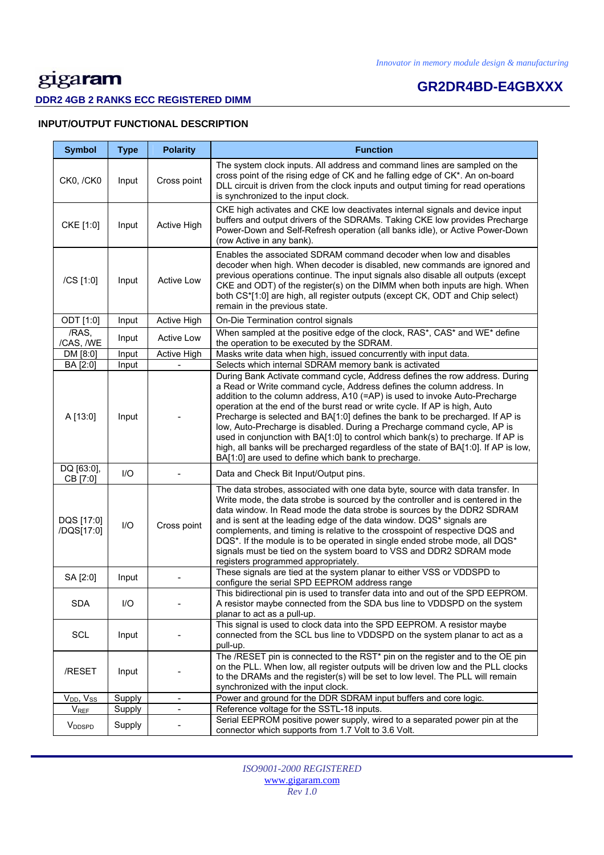### **DDR2 4GB 2 RANKS ECC REGISTERED DIMM**

# **GR2DR4BD-E4GBXXX**

### **INPUT/OUTPUT FUNCTIONAL DESCRIPTION**

| <b>Symbol</b>             | <b>Type</b> | <b>Polarity</b>              | <b>Function</b>                                                                                                                                                                                                                                                                                                                                                                                                                                                                                                                                                                                                                                                                                                  |
|---------------------------|-------------|------------------------------|------------------------------------------------------------------------------------------------------------------------------------------------------------------------------------------------------------------------------------------------------------------------------------------------------------------------------------------------------------------------------------------------------------------------------------------------------------------------------------------------------------------------------------------------------------------------------------------------------------------------------------------------------------------------------------------------------------------|
| CK0, /CK0                 | Input       | Cross point                  | The system clock inputs. All address and command lines are sampled on the<br>cross point of the rising edge of CK and he falling edge of CK*. An on-board<br>DLL circuit is driven from the clock inputs and output timing for read operations<br>is synchronized to the input clock.                                                                                                                                                                                                                                                                                                                                                                                                                            |
| CKE [1:0]                 | Input       | Active High                  | CKE high activates and CKE low deactivates internal signals and device input<br>buffers and output drivers of the SDRAMs. Taking CKE low provides Precharge<br>Power-Down and Self-Refresh operation (all banks idle), or Active Power-Down<br>(row Active in any bank).                                                                                                                                                                                                                                                                                                                                                                                                                                         |
| /CS [1:0]                 | Input       | <b>Active Low</b>            | Enables the associated SDRAM command decoder when low and disables<br>decoder when high. When decoder is disabled, new commands are ignored and<br>previous operations continue. The input signals also disable all outputs (except<br>CKE and ODT) of the register(s) on the DIMM when both inputs are high. When<br>both CS*[1:0] are high, all register outputs (except CK, ODT and Chip select)<br>remain in the previous state.                                                                                                                                                                                                                                                                             |
| ODT [1:0]                 | Input       | Active High                  | On-Die Termination control signals                                                                                                                                                                                                                                                                                                                                                                                                                                                                                                                                                                                                                                                                               |
| /RAS,<br>/CAS, /WE        | Input       | <b>Active Low</b>            | When sampled at the positive edge of the clock, RAS*, CAS* and WE* define<br>the operation to be executed by the SDRAM.                                                                                                                                                                                                                                                                                                                                                                                                                                                                                                                                                                                          |
| DM [8:0]                  | Input       | Active High                  | Masks write data when high, issued concurrently with input data.                                                                                                                                                                                                                                                                                                                                                                                                                                                                                                                                                                                                                                                 |
| BA [2:0]                  | Input       |                              | Selects which internal SDRAM memory bank is activated                                                                                                                                                                                                                                                                                                                                                                                                                                                                                                                                                                                                                                                            |
| A [13:0]                  | Input       |                              | During Bank Activate command cycle, Address defines the row address. During<br>a Read or Write command cycle, Address defines the column address. In<br>addition to the column address, A10 (=AP) is used to invoke Auto-Precharge<br>operation at the end of the burst read or write cycle. If AP is high, Auto<br>Precharge is selected and BA[1:0] defines the bank to be precharged. If AP is<br>low, Auto-Precharge is disabled. During a Precharge command cycle, AP is<br>used in conjunction with BA[1:0] to control which bank(s) to precharge. If AP is<br>high, all banks will be precharged regardless of the state of BA[1:0]. If AP is low,<br>BA[1:0] are used to define which bank to precharge. |
| DQ [63:0],<br>CB [7:0]    | $UO$        |                              | Data and Check Bit Input/Output pins.                                                                                                                                                                                                                                                                                                                                                                                                                                                                                                                                                                                                                                                                            |
| DQS [17:0]<br>/DQS[17:0]  | I/O         | Cross point                  | The data strobes, associated with one data byte, source with data transfer. In<br>Write mode, the data strobe is sourced by the controller and is centered in the<br>data window. In Read mode the data strobe is sources by the DDR2 SDRAM<br>and is sent at the leading edge of the data window. DQS* signals are<br>complements, and timing is relative to the crosspoint of respective DQS and<br>DQS*. If the module is to be operated in single ended strobe mode, all DQS*<br>signals must be tied on the system board to VSS and DDR2 SDRAM mode<br>registers programmed appropriately.                                                                                                                  |
| SA [2:0]                  | Input       |                              | These signals are tied at the system planar to either VSS or VDDSPD to<br>configure the serial SPD EEPROM address range                                                                                                                                                                                                                                                                                                                                                                                                                                                                                                                                                                                          |
| <b>SDA</b>                | I/O         |                              | This bidirectional pin is used to transfer data into and out of the SPD EEPROM.<br>A resistor maybe connected from the SDA bus line to VDDSPD on the system<br>planar to act as a pull-up.                                                                                                                                                                                                                                                                                                                                                                                                                                                                                                                       |
| SCL                       | Input       |                              | This signal is used to clock data into the SPD EEPROM. A resistor maybe<br>connected from the SCL bus line to VDDSPD on the system planar to act as a<br>pull-up.                                                                                                                                                                                                                                                                                                                                                                                                                                                                                                                                                |
| /RESET                    | Input       |                              | The /RESET pin is connected to the RST* pin on the register and to the OE pin<br>on the PLL. When low, all register outputs will be driven low and the PLL clocks<br>to the DRAMs and the register(s) will be set to low level. The PLL will remain<br>synchronized with the input clock.                                                                                                                                                                                                                                                                                                                                                                                                                        |
| $V_{DD}$ , $V_{SS}$       | Supply      | $\blacksquare$               | Power and ground for the DDR SDRAM input buffers and core logic.                                                                                                                                                                                                                                                                                                                                                                                                                                                                                                                                                                                                                                                 |
| <b>V</b> <sub>REF</sub>   | Supply      | $\qquad \qquad \blacksquare$ | Reference voltage for the SSTL-18 inputs.                                                                                                                                                                                                                                                                                                                                                                                                                                                                                                                                                                                                                                                                        |
| <b>V</b> <sub>DDSPD</sub> | Supply      |                              | Serial EEPROM positive power supply, wired to a separated power pin at the<br>connector which supports from 1.7 Volt to 3.6 Volt.                                                                                                                                                                                                                                                                                                                                                                                                                                                                                                                                                                                |

*ISO9001-2000 REGISTERED*  www.gigaram.com *Rev 1.0*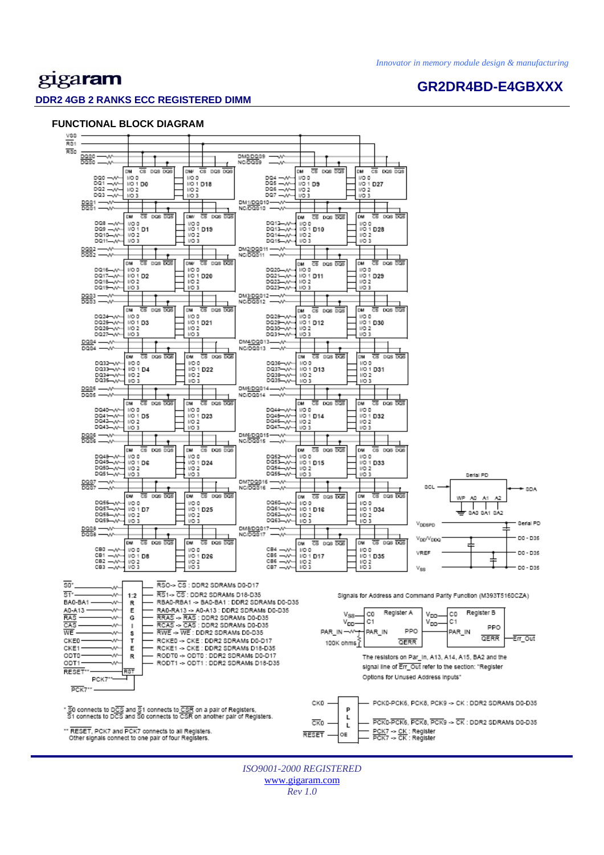**GR2DR4BD-E4GBXXX** 

# gigaram

#### **DDR2 4GB 2 RANKS ECC REGISTERED DIMM**

#### **FUNCTIONAL BLOCK DIAGRAM**



*ISO9001-2000 REGISTERED*  www.gigaram.com *Rev 1.0*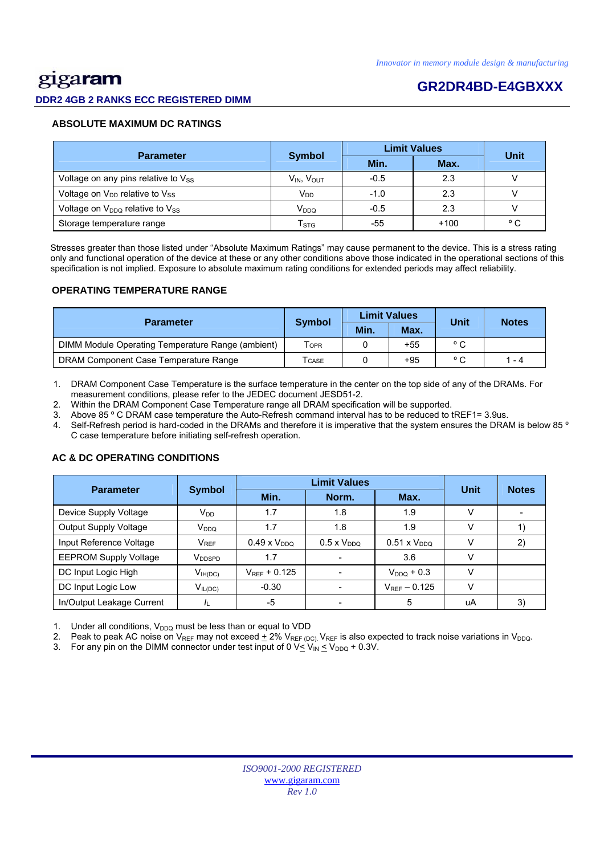# <u>gig</u>aram

#### **DDR2 4GB 2 RANKS ECC REGISTERED DIMM**

## **GR2DR4BD-E4GBXXX**

#### **ABSOLUTE MAXIMUM DC RATINGS**

| <b>Parameter</b>                                       | <b>Symbol</b>             |        | <b>Limit Values</b> | Unit         |  |
|--------------------------------------------------------|---------------------------|--------|---------------------|--------------|--|
|                                                        |                           | Min.   | Max.                |              |  |
| Voltage on any pins relative to $V_{SS}$               | $V_{IN}$ , $V_{OUT}$      | $-0.5$ | 2.3                 |              |  |
| Voltage on V <sub>DD</sub> relative to V <sub>SS</sub> | V <sub>DD</sub>           | $-1.0$ | 2.3                 |              |  |
| Voltage on $V_{DDQ}$ relative to $V_{SS}$              | V <sub>DDQ</sub>          | $-0.5$ | 2.3                 |              |  |
| Storage temperature range                              | $\mathsf{T}_{\text{STG}}$ | -55    | $+100$              | $^{\circ}$ C |  |

 Stresses greater than those listed under "Absolute Maximum Ratings" may cause permanent to the device. This is a stress rating only and functional operation of the device at these or any other conditions above those indicated in the operational sections of this specification is not implied. Exposure to absolute maximum rating conditions for extended periods may affect reliability.

#### **OPERATING TEMPERATURE RANGE**

| <b>Parameter</b>                                  |                  |      | <b>Limit Values</b> | Unit           | <b>Notes</b> |  |
|---------------------------------------------------|------------------|------|---------------------|----------------|--------------|--|
|                                                   | <b>Symbol</b>    | Min. | Max.                |                |              |  |
| DIMM Module Operating Temperature Range (ambient) | T <sub>OPR</sub> |      | $+55$               | $^{\circ}$ C   |              |  |
| DRAM Component Case Temperature Range             | <b>CASE</b>      |      | $+95$               | $\circ$ $\sim$ | 1 - 4        |  |

1. DRAM Component Case Temperature is the surface temperature in the center on the top side of any of the DRAMs. For measurement conditions, please refer to the JEDEC document JESD51-2.

2. Within the DRAM Component Case Temperature range all DRAM specification will be supported.

3. Above 85 º C DRAM case temperature the Auto-Refresh command interval has to be reduced to tREF1= 3.9us.

4. Self-Refresh period is hard-coded in the DRAMs and therefore it is imperative that the system ensures the DRAM is below 85 º C case temperature before initiating self-refresh operation.

## Parameter Symbol **Definit Values**<br>Min. Norm. Max. **Unit Notes**  Device Supply Voltage  $V_{DD}$   $V_{DD}$  1.7  $1.8$  1.8 1.9 V Output Supply Voltage VDDQ 1.7 1.8 1.9 V 1) Input Reference Voltage  $V_{REF}$  0.49 x V<sub>DDQ</sub> 0.5 x V<sub>DDQ</sub> 0.51 x V<sub>DDQ</sub> V 2) EEPROM Supply Voltage VDDSPD 1.7 - 3.6 V DC Input Logic High  $V_{\text{H(DC)}}$   $V_{\text{REF}}$  + 0.125  $\vert$  -  $V_{\text{DDQ}}$  + 0.3  $\vert$  V DC Input Logic Low  $V_{IL(DC)}$   $-0.30$   $-V_{REF} - 0.125$  V In/Output Leakage Current |  $I_L$  | -5 | - | 5 | uA | 3)

#### **AC & DC OPERATING CONDITIONS**

Under all conditions,  $V_{DDQ}$  must be less than or equal to VDD

2. Peak to peak AC noise on V<sub>REF</sub> may not exceed  $\pm$  2% V<sub>REF (DC)</sub>. V<sub>REF</sub> is also expected to track noise variations in V<sub>DDQ</sub>.

3. For any pin on the DIMM connector under test input of 0  $V \leq V_{IN} \leq V_{DDQ} + 0.3V$ .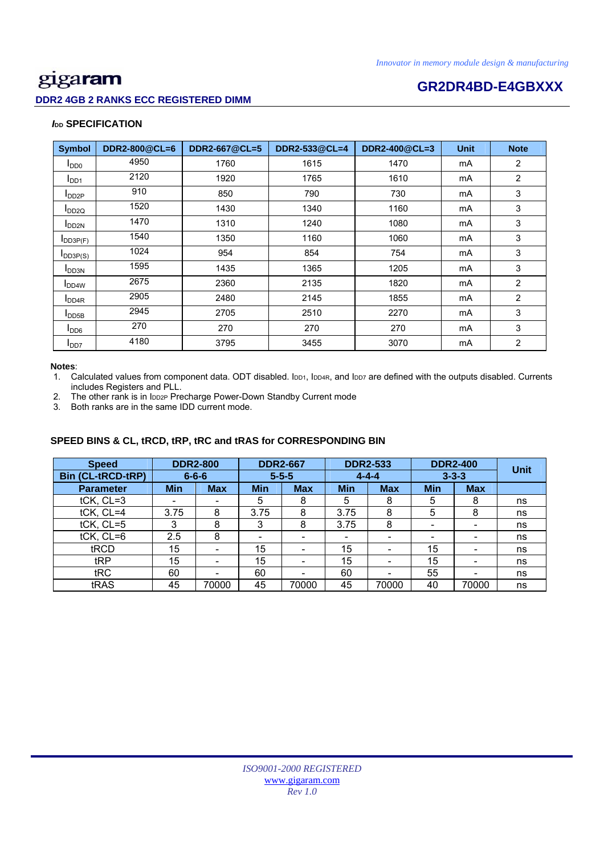### **DDR2 4GB 2 RANKS ECC REGISTERED DIMM**

# **Example 2018 CR2DR4BD-E4GBXXX**

#### *I***<sub>DD</sub> SPECIFICATION**

| <b>Symbol</b>              | DDR2-800@CL=6 | DDR2-667@CL=5 | DDR2-533@CL=4      | DDR2-400@CL=3 | <b>Unit</b> | <b>Note</b>    |
|----------------------------|---------------|---------------|--------------------|---------------|-------------|----------------|
| $I_{DD0}$                  | 4950          | 1760          | 1615               | 1470          | mA          | $\overline{2}$ |
| I <sub>DD1</sub>           | 2120          | 1920          | 1765<br>1610<br>mA |               |             | $\overline{2}$ |
| $I_{DD2P}$                 | 910           | 850           | 790                | 730           | mA          | 3              |
| $I_{DD2Q}$                 | 1520          | 1430          | 1340               | 1160          | mA          | 3              |
| <b>I</b> DD <sub>2N</sub>  | 1470          | 1310          | 1240               | 1080          | mA          | 3              |
| $I$ <sub>DD3P(F)</sub>     | 1540          | 1350          | 1160               | 1060          | mA          | 3              |
| $I_{DD3P(S)}$              | 1024          | 954           | 854                | 754           | mA          | 3              |
| <b>I</b> DD3N              | 1595          | 1435          | 1365               | 1205          | mA          | 3              |
| <b>I</b> DD <sub>4</sub> W | 2675          | 2360          | 2135               | 1820          | mA          | $\overline{2}$ |
| I <sub>DD4R</sub>          | 2905          | 2480          | 2145               | 1855          | mA          | $\overline{2}$ |
| $I_{\text{DDB}}$           | 2945          | 2705          | 2510               | 2270          | mA          | 3              |
| $I_{DD6}$                  | 270           | 270           | 270                | 270           | mA          | 3              |
| I <sub>DD7</sub>           | 4180          | 3795          | 3455               | 3070          | mA          | $\overline{2}$ |

#### **Notes**:

1. Calculated values from component data. ODT disabled. IDD1, IDD4R, and IDD7 are defined with the outputs disabled. Currents includes Registers and PLL.

2. The other rank is in IDD2P Precharge Power-Down Standby Current mode

3. Both ranks are in the same IDD current mode.

### **SPEED BINS & CL, tRCD, tRP, tRC and tRAS for CORRESPONDING BIN**

| <b>Speed</b>             |            | <b>DDR2-800</b>          |             | <b>DDR2-667</b> | <b>DDR2-533</b><br><b>DDR2-400</b> |                          |                          | <b>Unit</b> |    |
|--------------------------|------------|--------------------------|-------------|-----------------|------------------------------------|--------------------------|--------------------------|-------------|----|
| <b>Bin (CL-tRCD-tRP)</b> |            | $6 - 6 - 6$              | $5 - 5 - 5$ |                 | $4 - 4 - 4$                        |                          | $3 - 3 - 3$              |             |    |
| <b>Parameter</b>         | <b>Min</b> | <b>Max</b>               | <b>Min</b>  | <b>Max</b>      | <b>Min</b>                         | <b>Max</b>               | <b>Min</b>               | <b>Max</b>  |    |
| tCK, CL=3                | ۰          |                          | 5           | 8               | 5                                  | 8                        | 5                        | 8           | ns |
| tCK, CL=4                | 3.75       | 8                        | 3.75        | 8               | 3.75                               | 8                        | 5                        | 8           | ns |
| tCK, CL=5                | 3          | 8                        | 3           | 8               | 3.75                               | 8                        | $\overline{\phantom{0}}$ | -           | ns |
| $tCK$ , $CL=6$           | 2.5        | 8                        | -           |                 | $\overline{\phantom{0}}$           | -                        | -                        |             | ns |
| tRCD                     | 15         | $\overline{\phantom{0}}$ | 15          | -               | 15                                 | -                        | 15                       | -           | ns |
| tRP                      | 15         |                          | 15          |                 | 15                                 | $\overline{\phantom{0}}$ | 15                       |             | ns |
| tRC                      | 60         |                          | 60          |                 | 60                                 |                          | 55                       |             | ns |
| tRAS                     | 45         | 70000                    | 45          | 70000           | 45                                 | 70000                    | 40                       | 70000       | ns |